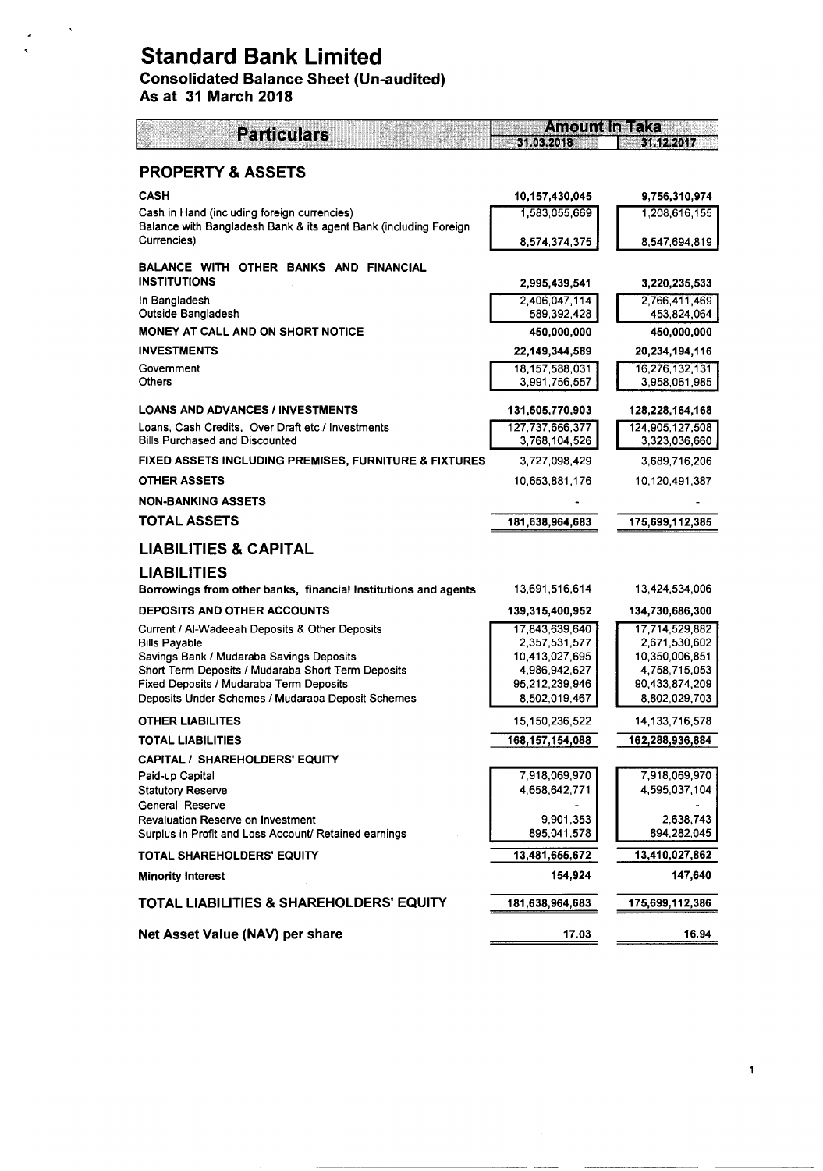# **Standard Bank Limited**

# Consolidated Balance Sheet (Un-audited)

As at 31 March 2018

| <b>Particulars</b>                                                                             | <b>Amount in Taka</b>           |                                 |  |  |
|------------------------------------------------------------------------------------------------|---------------------------------|---------------------------------|--|--|
|                                                                                                | 31.03.2018                      | 31.12.2017                      |  |  |
| <b>PROPERTY &amp; ASSETS</b>                                                                   |                                 |                                 |  |  |
| <b>CASH</b>                                                                                    | 10,157,430,045                  | 9,756,310,974                   |  |  |
| Cash in Hand (including foreign currencies)                                                    | 1,583,055,669                   | 1,208,616,155                   |  |  |
| Balance with Bangladesh Bank & its agent Bank (including Foreign                               |                                 |                                 |  |  |
| Currencies)                                                                                    | 8,574,374,375                   | 8,547,694,819                   |  |  |
| BALANCE WITH OTHER BANKS AND FINANCIAL<br><b>INSTITUTIONS</b>                                  | 2,995,439,541                   | 3,220,235,533                   |  |  |
| In Bangladesh<br>Outside Bangladesh                                                            | 2,406,047,114<br>589,392,428    | 2,766,411,469<br>453,824,064    |  |  |
| <b>MONEY AT CALL AND ON SHORT NOTICE</b>                                                       | 450,000,000                     | 450,000,000                     |  |  |
| <b>INVESTMENTS</b>                                                                             | 22,149,344,589                  | 20,234,194,116                  |  |  |
| Government                                                                                     | 18, 157, 588, 031               | 16,276,132,131                  |  |  |
| Others                                                                                         | 3,991,756,557                   | 3,958,061,985                   |  |  |
| <b>LOANS AND ADVANCES / INVESTMENTS</b>                                                        | 131,505,770,903                 | 128,228,164,168                 |  |  |
| Loans, Cash Credits, Over Draft etc./ Investments                                              | 127,737,666,377                 | 124,905,127,508                 |  |  |
| <b>Bills Purchased and Discounted</b>                                                          | 3,768,104,526                   | 3,323,036,660                   |  |  |
| FIXED ASSETS INCLUDING PREMISES, FURNITURE & FIXTURES                                          | 3,727,098,429                   | 3,689,716,206                   |  |  |
| <b>OTHER ASSETS</b>                                                                            | 10,653,881,176                  | 10,120,491,387                  |  |  |
| <b>NON-BANKING ASSETS</b>                                                                      |                                 |                                 |  |  |
| <b>TOTAL ASSETS</b>                                                                            | 181,638,964,683                 | 175,699,112,385                 |  |  |
| <b>LIABILITIES &amp; CAPITAL</b>                                                               |                                 |                                 |  |  |
| <b>LIABILITIES</b>                                                                             |                                 |                                 |  |  |
| Borrowings from other banks, financial Institutions and agents                                 | 13,691,516,614                  | 13,424,534,006                  |  |  |
| <b>DEPOSITS AND OTHER ACCOUNTS</b>                                                             | 139,315,400,952                 | 134,730,686,300                 |  |  |
| Current / Al-Wadeeah Deposits & Other Deposits                                                 | 17,843,639,640                  | 17,714,529,882                  |  |  |
| <b>Bills Payable</b>                                                                           | 2,357,531,577                   | 2,671,530,602                   |  |  |
| Savings Bank / Mudaraba Savings Deposits<br>Short Term Deposits / Mudaraba Short Term Deposits | 10,413,027,695<br>4,986,942,627 | 10,350,006,851<br>4,758,715,053 |  |  |
| Fixed Deposits / Mudaraba Term Deposits                                                        | 95,212,239,946                  | 90,433,874,209                  |  |  |
| Deposits Under Schemes / Mudaraba Deposit Schemes                                              | 8,502,019,467                   | 8,802,029,703                   |  |  |
| <b>OTHER LIABILITES</b>                                                                        | 15, 150, 236, 522               | 14, 133, 716, 578               |  |  |
| TOTAL LIABILITIES                                                                              | 168, 157, 154, 088              | 162,288,936,884                 |  |  |
| CAPITAL / SHAREHOLDERS' EQUITY                                                                 |                                 |                                 |  |  |
| Paid-up Capital                                                                                | 7,918,069,970                   | 7,918,069,970                   |  |  |
| <b>Statutory Reserve</b>                                                                       | 4,658,642,771                   | 4,595,037,104                   |  |  |
| General Reserve                                                                                |                                 |                                 |  |  |
| Revaluation Reserve on Investment<br>Surplus in Profit and Loss Account/ Retained earnings     | 9,901,353<br>895,041,578        | 2,638,743<br>894,282,045        |  |  |
| TOTAL SHAREHOLDERS' EQUITY                                                                     | 13,481,655,672                  | 13,410,027,862                  |  |  |
| <b>Minority Interest</b>                                                                       | 154,924                         | 147,640                         |  |  |
| <b>TOTAL LIABILITIES &amp; SHAREHOLDERS' EQUITY</b>                                            | 181,638,964,683                 | 175,699,112,386                 |  |  |
|                                                                                                |                                 |                                 |  |  |
| Net Asset Value (NAV) per share                                                                | 17.03                           | 16.94                           |  |  |

 $\mathbf{1}$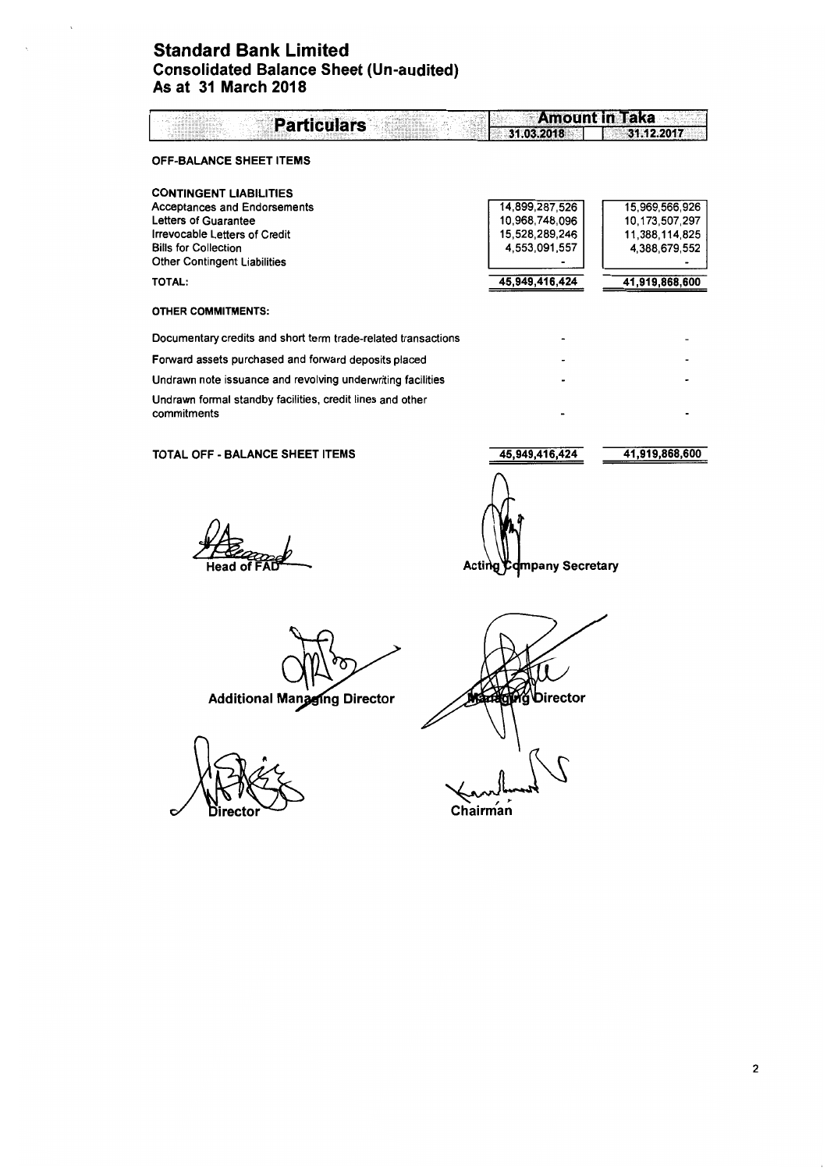### Standard Bank Limited Consolidated Balance Sheet (Un-audited) As at 31 March 2018

| <b>Particulars</b>                                            | <b>Amount in Taka</b> |                |  |  |
|---------------------------------------------------------------|-----------------------|----------------|--|--|
|                                                               | 31.03.2018            | 31.12.2017     |  |  |
| <b>OFF-BALANCE SHEET ITEMS</b>                                |                       |                |  |  |
| <b>CONTINGENT LIABILITIES</b>                                 |                       |                |  |  |
| <b>Acceptances and Endorsements</b>                           | 14,899,287,526        | 15,969,566,926 |  |  |
| Letters of Guarantee                                          | 10,968,748,096        | 10,173,507,297 |  |  |
| Irrevocable Letters of Credit                                 | 15,528,289,246        | 11,388,114,825 |  |  |
| <b>Bills for Collection</b>                                   | 4,553,091,557         | 4,388,679,552  |  |  |
| <b>Other Contingent Liabilities</b>                           |                       |                |  |  |
| TOTAL:                                                        | 45,949,416,424        | 41,919,868,600 |  |  |
| <b>OTHER COMMITMENTS:</b>                                     |                       |                |  |  |
| Documentary credits and short term trade-related transactions |                       |                |  |  |
| Forward assets purchased and forward deposits placed          |                       |                |  |  |
| Undrawn note issuance and revolving underwriting facilities   |                       |                |  |  |
| Undrawn formal standby facilities, credit lines and other     |                       |                |  |  |
| commitments                                                   |                       |                |  |  |

TOTAL OFF - BALANCE SHEET ITEMS

45,949,416,424

Acting Company Secretary

41,919,868,600

**Head of** 

**Additional Managing Director** 

irector

**Ong Director** 

Chairman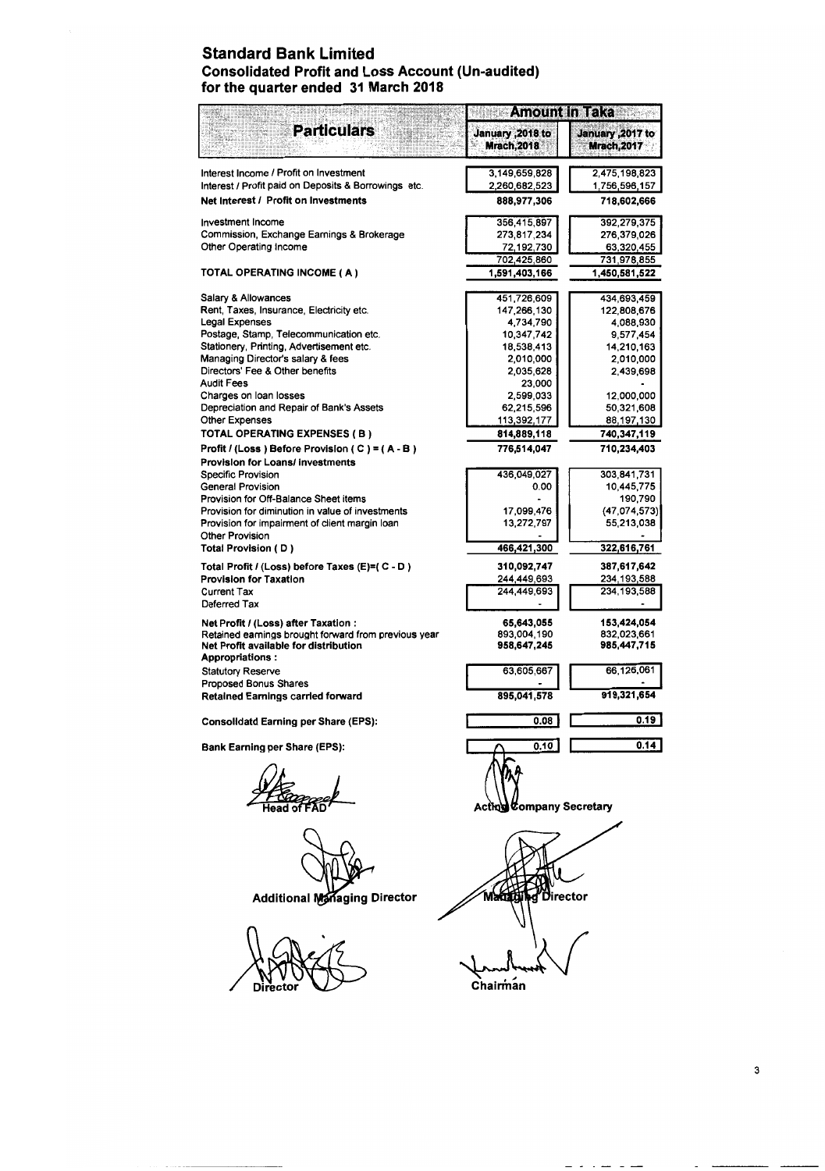### **Standard Bank Limited Consolidated Profit and Loss Account (Un-audited) for the quarter ended 31 March 2018**

|                                                                                              | <b>Amount in Taka</b>                   |                                         |
|----------------------------------------------------------------------------------------------|-----------------------------------------|-----------------------------------------|
| <b>Particulars</b>                                                                           | January , 2018 to<br><b>Mrach, 2018</b> | January , 2017 to<br><b>Mrach, 2017</b> |
| Interest Income / Profit on Investment                                                       | 3,149,659,828                           | 2,475,198,823                           |
| Interest / Profit paid on Deposits & Borrowings etc.<br>Net Interest / Profit on Investments | 2,260,682,523<br>888,977,306            | 1,756,596,157<br>718,602,666            |
|                                                                                              |                                         |                                         |
| <b>Investment Income</b><br>Commission, Exchange Earnings & Brokerage                        | 356,415,897<br>273,817,234              | 392,279,375<br>276,379,026              |
| Other Operating Income                                                                       | 72,192,730                              | 63,320,455                              |
| TOTAL OPERATING INCOME ( A )                                                                 | 702,425,860<br>1,591,403,166            | 731,978,855<br>1,450,581,522            |
|                                                                                              |                                         |                                         |
| Salary & Allowances<br>Rent, Taxes, Insurance, Electricity etc.                              | 451,726,609<br>147,266,130              | 434,693,459<br>122,808,676              |
| <b>Legal Expenses</b>                                                                        | 4,734,790                               | 4,088,930                               |
| Postage, Stamp, Telecommunication etc.                                                       | 10,347,742                              | 9,577,454                               |
| Stationery, Printing, Advertisement etc.                                                     | 18,538,413                              | 14,210,163                              |
| Managing Director's salary & fees                                                            | 2,010,000                               | 2,010,000                               |
| Directors' Fee & Other benefits                                                              | 2,035,628                               | 2,439,698                               |
| <b>Audit Fees</b>                                                                            | 23,000                                  |                                         |
| Charges on loan losses<br>Depreciation and Repair of Bank's Assets                           | 2,599,033<br>62,215,596                 | 12,000,000<br>50,321,608                |
| <b>Other Expenses</b>                                                                        | 113,392,177                             | 88,197,130                              |
| TOTAL OPERATING EXPENSES (B)                                                                 | 814,889,118                             | 740,347,119                             |
| Profit / (Loss) Before Provision ( C ) = ( A - B)                                            | 776,514,047                             | 710,234,403                             |
| <b>Provision for Loans/ investments</b>                                                      |                                         |                                         |
| <b>Specific Provision</b>                                                                    | 436,049,027                             | 303,841,731                             |
| <b>General Provision</b>                                                                     | 0.00                                    | 10.445,775                              |
| Provision for Off-Balance Sheet items                                                        |                                         | 190,790                                 |
| Provision for diminution in value of investments                                             | 17,099,476                              | (47, 074, 573)                          |
| Provision for impairment of client margin loan                                               | 13,272,797                              | 55,213,038                              |
| <b>Other Provision</b><br>Total Provision (D)                                                | 466,421,300                             | 322,616,761                             |
| Total Profit / (Loss) before Taxes (E)=( C - D)                                              | 310,092,747                             | 387,617,642                             |
| <b>Provision for Taxation</b>                                                                | 244,449,693                             | 234,193,588                             |
| <b>Current Tax</b>                                                                           | 244,449,693                             | 234,193,588                             |
| Deferred Tax                                                                                 |                                         |                                         |
| Net Profit / (Loss) after Taxation :<br>Retained earnings brought forward from previous year | 65,643,055<br>893,004,190               | 153,424,054<br>832,023,661              |
| Net Profit available for distribution<br><b>Appropriations:</b>                              | 958,647,245                             | 985,447,715                             |
| <b>Statutory Reserve</b>                                                                     | 63,605,667                              | 66,126,061                              |
| Proposed Bonus Shares                                                                        |                                         |                                         |
| <b>Retained Earnings carried forward</b>                                                     | 895,041,578                             | 919,321,654                             |
| <b>Consolidatd Earning per Share (EPS):</b>                                                  | 0.08                                    | 0.19                                    |
| <b>Bank Earning per Share (EPS):</b>                                                         | 0.10                                    | 0.14                                    |
|                                                                                              | Acting Company Secretary                |                                         |
| <b>Additional Managing Director</b>                                                          |                                         | irector                                 |
|                                                                                              | Chairman                                |                                         |

ساء بال

 $\sim$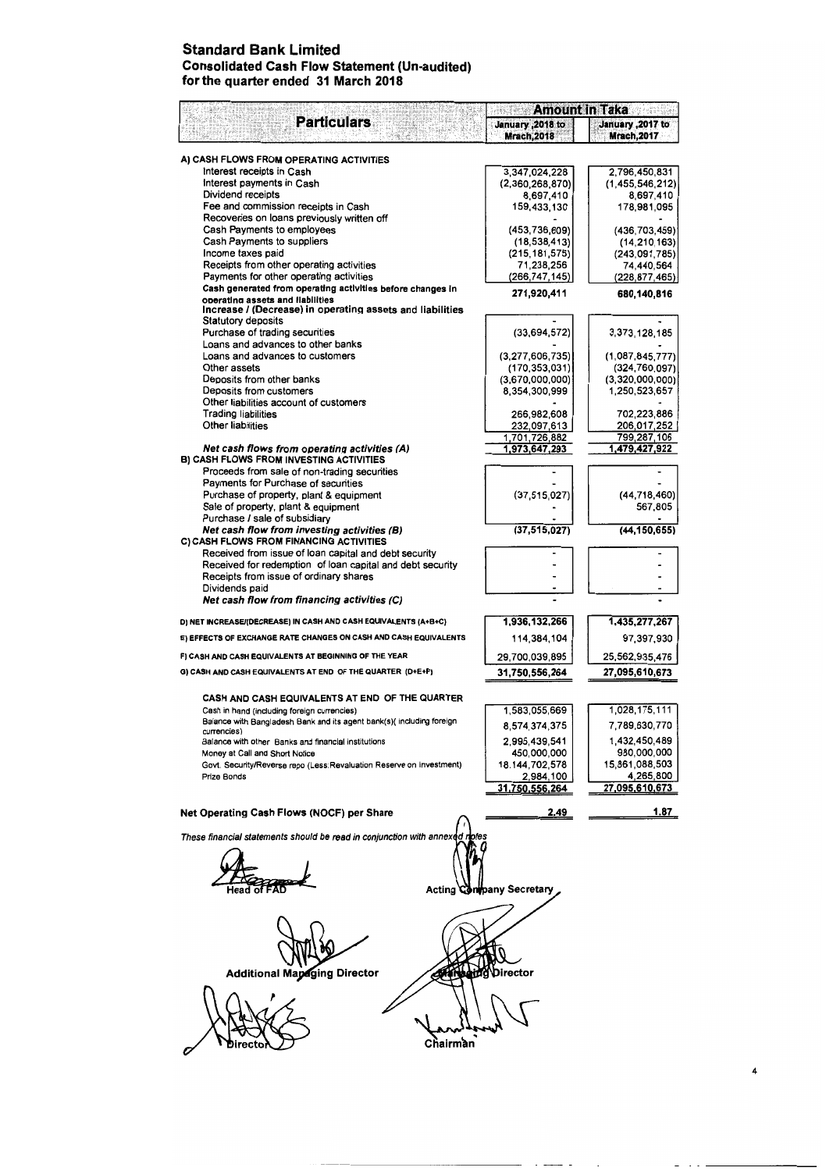### **Standard Bank Limited Consolidated Cash Flow Statement (Un-audited) for the quarter ended 31 March 2018**

|                                                                                                  | <b>Amount in Taka</b>                   |                                        |  |  |
|--------------------------------------------------------------------------------------------------|-----------------------------------------|----------------------------------------|--|--|
| <b>Particulars</b>                                                                               | January , 2018 to<br><b>Mrach, 2018</b> | January ,2017 to<br><b>Mrach, 2017</b> |  |  |
|                                                                                                  |                                         |                                        |  |  |
| A) CASH FLOWS FROM OPERATING ACTIVITIES<br>Interest receipts in Cash                             |                                         |                                        |  |  |
| Interest payments in Cash                                                                        | 3,347,024,228<br>(2,360,268,870)        | 2,796,450,831<br>(1,455,546,212)       |  |  |
| Dividend receipts                                                                                | 8,697,410                               | 8.697.410                              |  |  |
| Fee and commission receipts in Cash                                                              | 159,433,130                             | 178,981,095                            |  |  |
| Recoveries on loans previously written off                                                       |                                         |                                        |  |  |
| Cash Payments to employees                                                                       | (453,736,609)                           | (436, 703, 459)                        |  |  |
| Cash Payments to suppliers<br>Income taxes paid                                                  | (18, 538, 413)<br>(215, 181, 575)       | (14, 210, 163)                         |  |  |
| Receipts from other operating activities                                                         | 71,238,256                              | (243,091,785)<br>74,440,564            |  |  |
| Payments for other operating activities                                                          | (266,747,145)                           | (228, 877, 465)                        |  |  |
| Cash generated from operating activities before changes in                                       | 271,920,411                             | 680,140,816                            |  |  |
| operating assets and liabilities<br>Increase / (Decrease) in operating assets and liabilities    |                                         |                                        |  |  |
| Statutory deposits                                                                               |                                         |                                        |  |  |
| Purchase of trading securities                                                                   | (33,694,572)                            | 3, 373, 128, 185                       |  |  |
| Loans and advances to other banks                                                                |                                         |                                        |  |  |
| Loans and advances to customers<br>Other assets                                                  | (3, 277, 606, 735)                      | (1,087,845,777)                        |  |  |
| Deposits from other banks                                                                        | (170, 353, 031)<br>(3,670,000,000)      | (324, 760, 097)<br>(3,320,000,000)     |  |  |
| Deposits from customers                                                                          | 8,354,300,999                           | 1,250,523,657                          |  |  |
| Other liabilities account of customers                                                           |                                         |                                        |  |  |
| <b>Trading liabilities</b>                                                                       | 266,982,608                             | 702,223,886                            |  |  |
| Other liabilities                                                                                | 232,097,613                             | 206,017,252                            |  |  |
|                                                                                                  | 1,701,726,882                           | 799,287,106                            |  |  |
| Net cash flows from operating activities (A)<br><b>B) CASH FLOWS FROM INVESTING ACTIVITIES</b>   | 1,973,647,293                           | 1,479,427,922                          |  |  |
| Proceeds from sale of non-trading securities                                                     |                                         |                                        |  |  |
| Payments for Purchase of securities                                                              |                                         |                                        |  |  |
| Purchase of property, plant & equipment                                                          | (37, 515, 027)                          | (44, 718, 460)                         |  |  |
| Sale of property, plant & equipment                                                              |                                         | 567,805                                |  |  |
| Purchase / sale of subsidiary                                                                    |                                         |                                        |  |  |
| Net cash flow from investing activities (B)                                                      | (37, 515, 027)                          | (44, 150, 655)                         |  |  |
| C) CASH FLOWS FROM FINANCING ACTIVITIES<br>Received from issue of loan capital and debt security |                                         |                                        |  |  |
| Received for redemption of loan capital and debt security                                        |                                         |                                        |  |  |
| Receipts from issue of ordinary shares                                                           |                                         |                                        |  |  |
| Dividends paid                                                                                   |                                         |                                        |  |  |
| Net cash flow from financing activities (C)                                                      |                                         |                                        |  |  |
| D) NET INCREASE/(DECREASE) IN CASH AND CASH EQUIVALENTS (A+B+C)                                  | 1,936,132,266                           | 1,435,277,267                          |  |  |
| E) EFFECTS OF EXCHANGE RATE CHANGES ON CASH AND CASH EQUIVALENTS                                 | 114,384,104                             | 97,397,930                             |  |  |
| F) CASH AND CASH EQUIVALENTS AT BEGINNING OF THE YEAR                                            | 29,700,039,895                          | 25,562,935,476                         |  |  |
| G) CASH AND CASH EQUIVALENTS AT END OF THE QUARTER (D+E+F)                                       | 31,750,556,264                          | 27,095,610,673                         |  |  |
|                                                                                                  |                                         |                                        |  |  |
| CASH AND CASH EQUIVALENTS AT END OF THE QUARTER                                                  |                                         |                                        |  |  |
| Cash in hand (including foreign currencies)                                                      | 1,583,055,669                           | 1,028,175,111                          |  |  |
| Balance with Bangladesh Bank and its agent bank(s)( including foreign<br>currencies)             | 8,574,374,375                           | 7,789,630,770                          |  |  |
| Balance with other Banks and financial institutions                                              | 2,995,439,541                           | 1,432,450,489                          |  |  |
| Money at Call and Short Notice                                                                   | 450,000,000                             | 980,000,000                            |  |  |
| Govt. Security/Reverse repo (Less:Revaluation Reserve on Investment)                             | 18, 144, 702, 578                       | 15,861,088,503                         |  |  |
| Prize Bonds                                                                                      | 2,984,100                               | 4,265,800                              |  |  |
|                                                                                                  | 31,750,556,264                          | 27,095 <u>,610,673</u>                 |  |  |
| Net Operating Cash Flows (NOCF) per Share                                                        | 2.49                                    | 1.87                                   |  |  |
| These financial statements should be read in conjunction with annexed riotes                     |                                         |                                        |  |  |
|                                                                                                  |                                         |                                        |  |  |
|                                                                                                  |                                         |                                        |  |  |
|                                                                                                  |                                         |                                        |  |  |
|                                                                                                  | <b>Acting Confpany Secretary</b>        |                                        |  |  |
|                                                                                                  |                                         |                                        |  |  |
|                                                                                                  |                                         |                                        |  |  |
|                                                                                                  |                                         |                                        |  |  |
|                                                                                                  |                                         |                                        |  |  |
|                                                                                                  |                                         |                                        |  |  |
| <b>Additional Mapaging Director</b>                                                              | Director                                |                                        |  |  |
|                                                                                                  |                                         |                                        |  |  |
|                                                                                                  |                                         |                                        |  |  |
|                                                                                                  |                                         |                                        |  |  |
|                                                                                                  |                                         |                                        |  |  |
|                                                                                                  |                                         |                                        |  |  |
| Chairman                                                                                         |                                         |                                        |  |  |

 $\ddot{\phantom{0}}$ 

×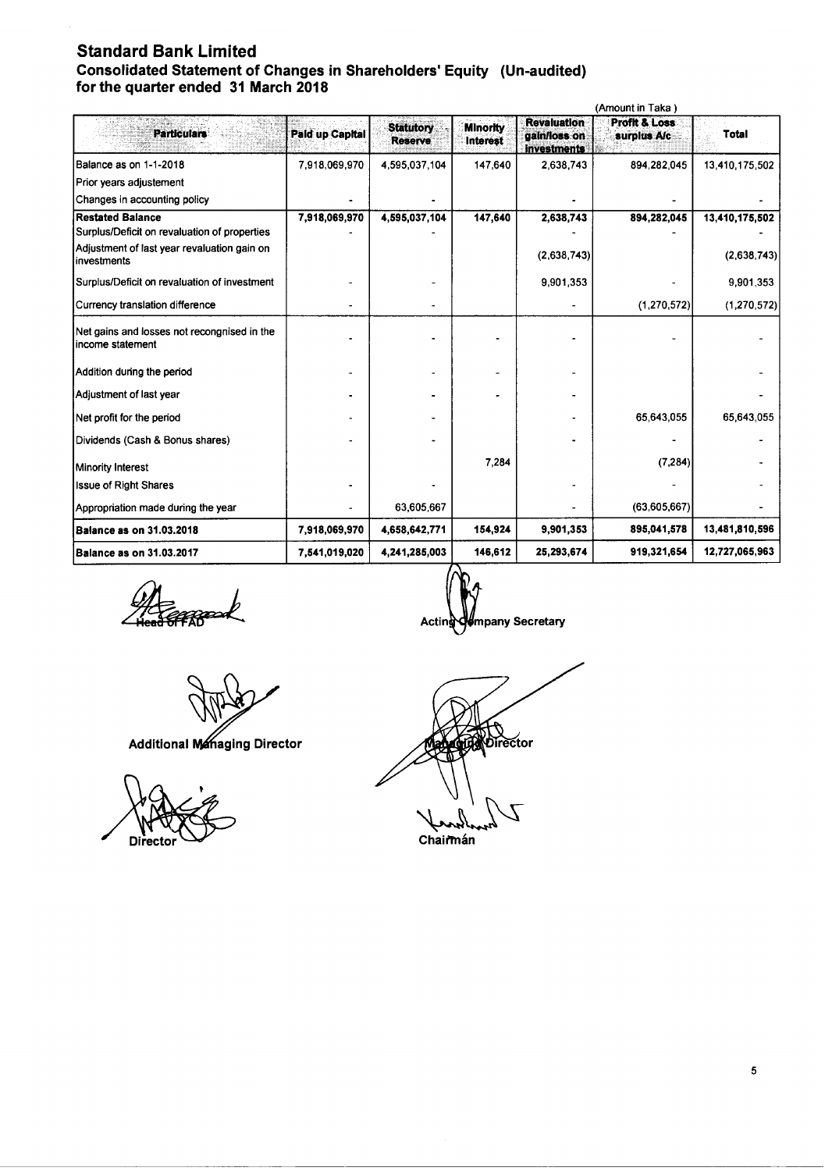### Standard Bank Limited Consolidated Statement of Changes in Shareholders' Equity (Un-audited) for the quarter ended 31 March 2018

|                                                                 |                        |                                    | (Amount in Taka)                   |                                                          |                                         |                |  |  |
|-----------------------------------------------------------------|------------------------|------------------------------------|------------------------------------|----------------------------------------------------------|-----------------------------------------|----------------|--|--|
| <b>Particulars</b>                                              | <b>Paid up Capital</b> | <b>Statutory</b><br><b>Reserve</b> | <b>Minority</b><br><b>Interest</b> | <b>Revaluation</b><br>gain/loss on<br><b>Investments</b> | <b>Profit &amp; Loss</b><br>surplus A/c | <b>Total</b>   |  |  |
| Balance as on 1-1-2018                                          | 7,918,069,970          | 4,595,037,104                      | 147,640                            | 2,638,743                                                | 894,282,045                             | 13,410,175,502 |  |  |
| Prior years adjustement                                         |                        |                                    |                                    |                                                          |                                         |                |  |  |
| Changes in accounting policy                                    |                        |                                    |                                    |                                                          |                                         |                |  |  |
| <b>Restated Balance</b>                                         | 7,918,069,970          | 4,595,037,104                      | 147,640                            | 2,638,743                                                | 894,282,045                             | 13,410,175,502 |  |  |
| Surplus/Deficit on revaluation of properties                    |                        |                                    |                                    |                                                          |                                         |                |  |  |
| Adjustment of last year revaluation gain on<br>investments      |                        |                                    |                                    | (2,638,743)                                              |                                         | (2,638,743)    |  |  |
| Surplus/Deficit on revaluation of investment                    |                        |                                    |                                    | 9,901,353                                                |                                         | 9,901,353      |  |  |
| Currency translation difference                                 |                        |                                    |                                    |                                                          | (1, 270, 572)                           | (1, 270, 572)  |  |  |
| Net gains and losses not recongnised in the<br>income statement |                        |                                    |                                    |                                                          |                                         |                |  |  |
| Addition during the period                                      |                        |                                    |                                    |                                                          |                                         |                |  |  |
| Adjustment of last year                                         |                        |                                    |                                    |                                                          |                                         |                |  |  |
| Net profit for the period                                       |                        |                                    |                                    |                                                          | 65,643,055                              | 65,643,055     |  |  |
| Dividends (Cash & Bonus shares)                                 |                        |                                    |                                    |                                                          |                                         |                |  |  |
| Minority Interest                                               |                        |                                    | 7.284                              |                                                          | (7.284)                                 |                |  |  |
| <b>Issue of Right Shares</b>                                    |                        |                                    |                                    |                                                          |                                         |                |  |  |
| Appropriation made during the year                              |                        | 63,605,667                         |                                    |                                                          | (63,605,667)                            |                |  |  |
| <b>Balance as on 31.03.2018</b>                                 | 7,918,069,970          | 4,658,642,771                      | 154,924                            | 9,901,353                                                | 895,041,578                             | 13,481,810,596 |  |  |
| <b>Balance as on 31.03.2017</b>                                 | 7,541,019,020          | 4,241,285,003                      | 146,612                            | 25,293,674                                               | 919,321,654                             | 12,727,065,963 |  |  |

.<br>FFRB

Additional Managing Director



Acting mpany Secretary

**The Director** 

Chairmán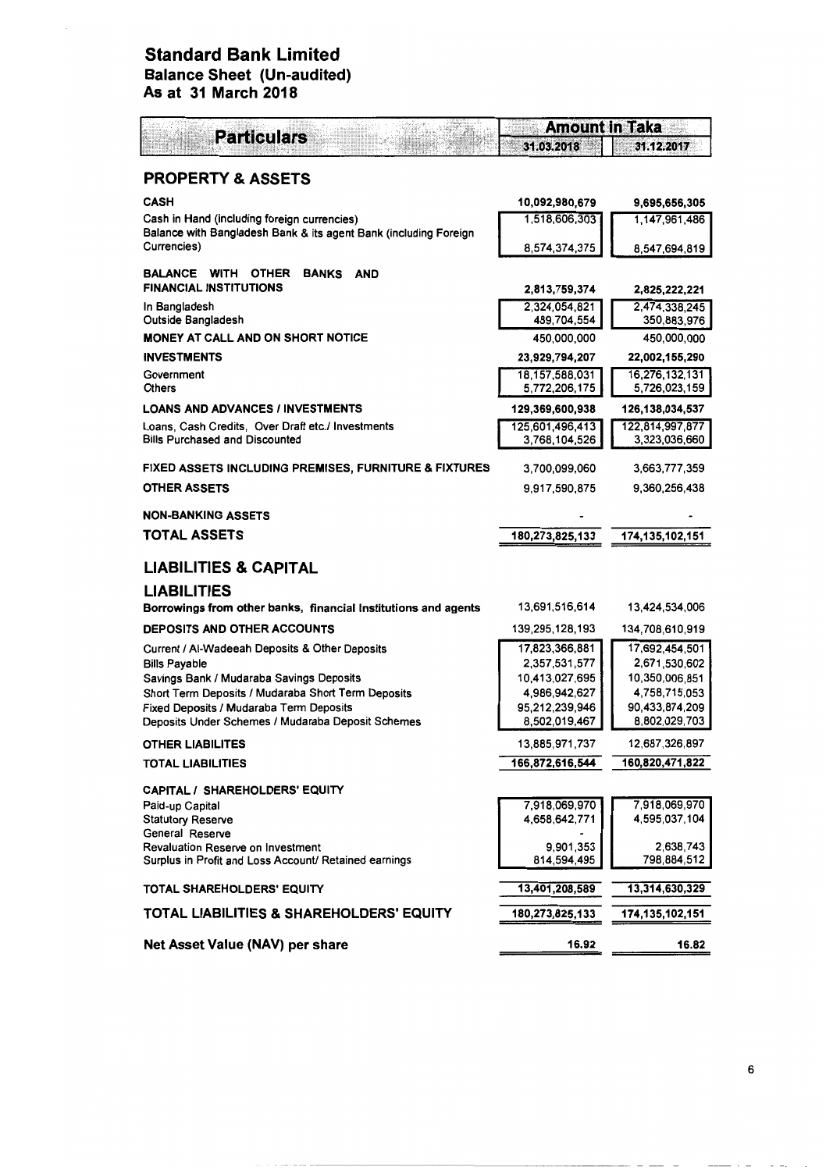## Standard Bank Limited Balance Sheet (Un-audited) As at 31 March 2018

| <b>Particulars</b>                                                                                           | <b>Amount in Taka</b>            |                                  |  |  |
|--------------------------------------------------------------------------------------------------------------|----------------------------------|----------------------------------|--|--|
|                                                                                                              | 31.03.2018                       | 31.12.2017                       |  |  |
| <b>PROPERTY &amp; ASSETS</b>                                                                                 |                                  |                                  |  |  |
| <b>CASH</b>                                                                                                  | 10,092,980,679                   | 9,695,656,305                    |  |  |
| Cash in Hand (including foreign currencies)                                                                  | 1,518,606,303                    | 1.147.961.486                    |  |  |
| Balance with Bangladesh Bank & its agent Bank (including Foreign<br>Currencies)                              | 8,574,374,375                    | 8,547,694,819                    |  |  |
| <b>BALANCE</b><br><b>WITH</b><br><b>OTHER</b><br><b>BANKS</b><br><b>AND</b><br><b>FINANCIAL INSTITUTIONS</b> | 2,813,759,374                    | 2,825,222,221                    |  |  |
| In Bangladesh                                                                                                | 2,324,054,821                    | 2,474,338,245                    |  |  |
| Outside Bangladesh                                                                                           | 489,704,554                      | 350,883,976                      |  |  |
| <b>MONEY AT CALL AND ON SHORT NOTICE</b><br><b>INVESTMENTS</b>                                               | 450,000,000                      | 450,000,000                      |  |  |
| Government                                                                                                   | 23,929,794,207<br>18,157,588,031 | 22,002,155,290<br>16,276,132,131 |  |  |
| Others                                                                                                       | 5,772,206,175                    | 5,726,023,159                    |  |  |
| <b>LOANS AND ADVANCES / INVESTMENTS</b>                                                                      | 129,369,600,938                  | 126,138,034,537                  |  |  |
| Loans, Cash Credits, Over Draft etc./ Investments                                                            | 125,601,496,413                  | 122,814,997,877                  |  |  |
| <b>Bills Purchased and Discounted</b>                                                                        | 3,768,104,526                    | 3,323,036,660                    |  |  |
| FIXED ASSETS INCLUDING PREMISES, FURNITURE & FIXTURES                                                        | 3,700,099,060                    | 3,663,777,359                    |  |  |
| <b>OTHER ASSETS</b>                                                                                          | 9,917,590,875                    | 9,360,256,438                    |  |  |
| NON-BANKING ASSETS                                                                                           |                                  |                                  |  |  |
| TOTAL ASSETS                                                                                                 | 180,273,825,133                  | 174,135,102,151                  |  |  |
|                                                                                                              |                                  |                                  |  |  |
| <b>LIABILITIES &amp; CAPITAL</b>                                                                             |                                  |                                  |  |  |
| <b>LIABILITIES</b>                                                                                           |                                  |                                  |  |  |
| Borrowings from other banks, financial institutions and agents                                               | 13,691,516,614                   | 13,424,534,006                   |  |  |
| <b>DEPOSITS AND OTHER ACCOUNTS</b>                                                                           | 139,295,128,193                  | 134,708,610,919                  |  |  |
| Current / Al-Wadeeah Deposits & Other Deposits                                                               | 17,823,366,881                   | 17,692,454,501                   |  |  |
| <b>Bills Payable</b>                                                                                         | 2,357,531,577                    | 2,671,530,602                    |  |  |
| Savings Bank / Mudaraba Savings Deposits<br>Short Term Deposits / Mudaraba Short Term Deposits               | 10,413,027,695<br>4,986,942,627  | 10,350,006,851<br>4,758,715,053  |  |  |
| Fixed Deposits / Mudaraba Term Deposits                                                                      | 95,212,239,946                   | 90,433,874,209                   |  |  |
| Deposits Under Schemes / Mudaraba Deposit Schemes                                                            | 8,502,019,467                    | 8,802,029,703                    |  |  |
| <b>OTHER LIABILITES</b>                                                                                      | 13,885,971,7 <i>31</i>           | 12,687,326,897                   |  |  |
| TOTAL LIABILITIES                                                                                            | 166,872,616,544                  | 160,820,471,822                  |  |  |
| CAPITAL / SHAREHOLDERS' EQUITY                                                                               |                                  |                                  |  |  |
| Paid-up Capital                                                                                              | 7,918,069,970                    | 7,918,069,970                    |  |  |
| <b>Statutory Reserve</b>                                                                                     | 4,658,642,771                    | 4,595,037,104                    |  |  |
| General Reserve<br><b>Revaluation Reserve on Investment</b>                                                  | 9,901,353                        | 2,638,743                        |  |  |
| Surplus in Profit and Loss Account/ Retained earnings                                                        | 814,594,495                      | 798,884,512                      |  |  |
| TOTAL SHAREHOLDERS' EQUITY                                                                                   | 13,401,208,589                   | 13,314,630,329                   |  |  |
| TOTAL LIABILITIES & SHAREHOLDERS' EQUITY                                                                     | 180,273,825,133                  | 174,135,102,151                  |  |  |
| Net Asset Value (NAV) per share                                                                              | 16.92                            | 16.82                            |  |  |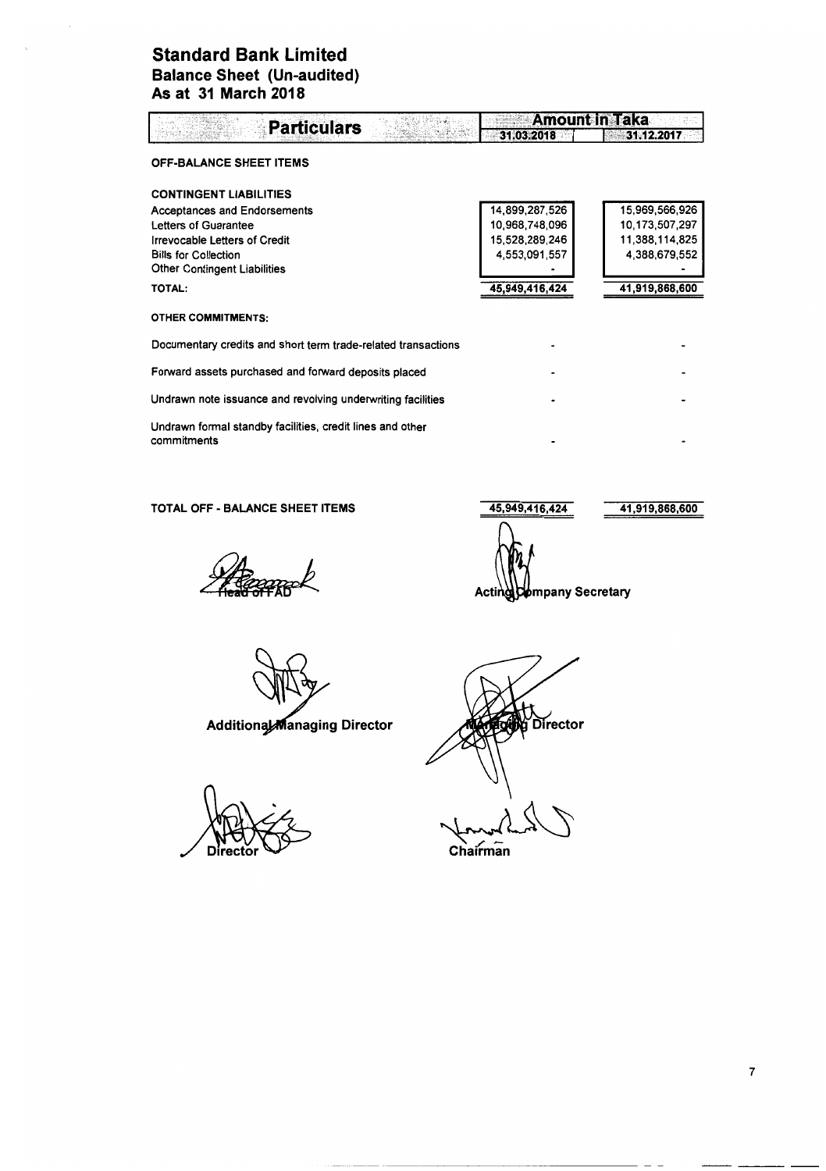### **Standard Bank Limited Balance Sheet (Un-audited) As at 31 March 2018**

| <b>Particulars</b>                                                       | <b>Amount in Taka</b> |                |  |  |
|--------------------------------------------------------------------------|-----------------------|----------------|--|--|
|                                                                          | 31.03.2018            | 31.12.2017     |  |  |
| <b>OFF-BALANCE SHEET ITEMS</b>                                           |                       |                |  |  |
| <b>CONTINGENT LIABILITIES</b>                                            |                       |                |  |  |
| <b>Acceptances and Endorsements</b>                                      | 14,899,287,526        | 15,969,566,926 |  |  |
| Letters of Guarantee                                                     | 10,968,748,096        | 10,173,507,297 |  |  |
| Irrevocable Letters of Credit                                            | 15,528,289,246        | 11,388,114,825 |  |  |
| <b>Bills for Collection</b>                                              | 4,553,091,557         | 4,388,679,552  |  |  |
| <b>Other Contingent Liabilities</b>                                      |                       |                |  |  |
| TOTAL:                                                                   | 45,949,416,424        | 41,919,868,600 |  |  |
| <b>OTHER COMMITMENTS:</b>                                                |                       |                |  |  |
| Documentary credits and short term trade-related transactions            |                       |                |  |  |
| Forward assets purchased and forward deposits placed                     |                       |                |  |  |
| Undrawn note issuance and revolving underwriting facilities              |                       |                |  |  |
| Undrawn formal standby facilities, credit lines and other<br>commitments |                       |                |  |  |

TOTAL OFF - BALANCE SHEET ITEMS 45,949,416,424

Fennack

Additional Managing Director

**Director** 

**Alt**<br>**Gibe** Director

 $\overline{\text{Chain}}$ 

41,919,868,600

Acting Company Secretary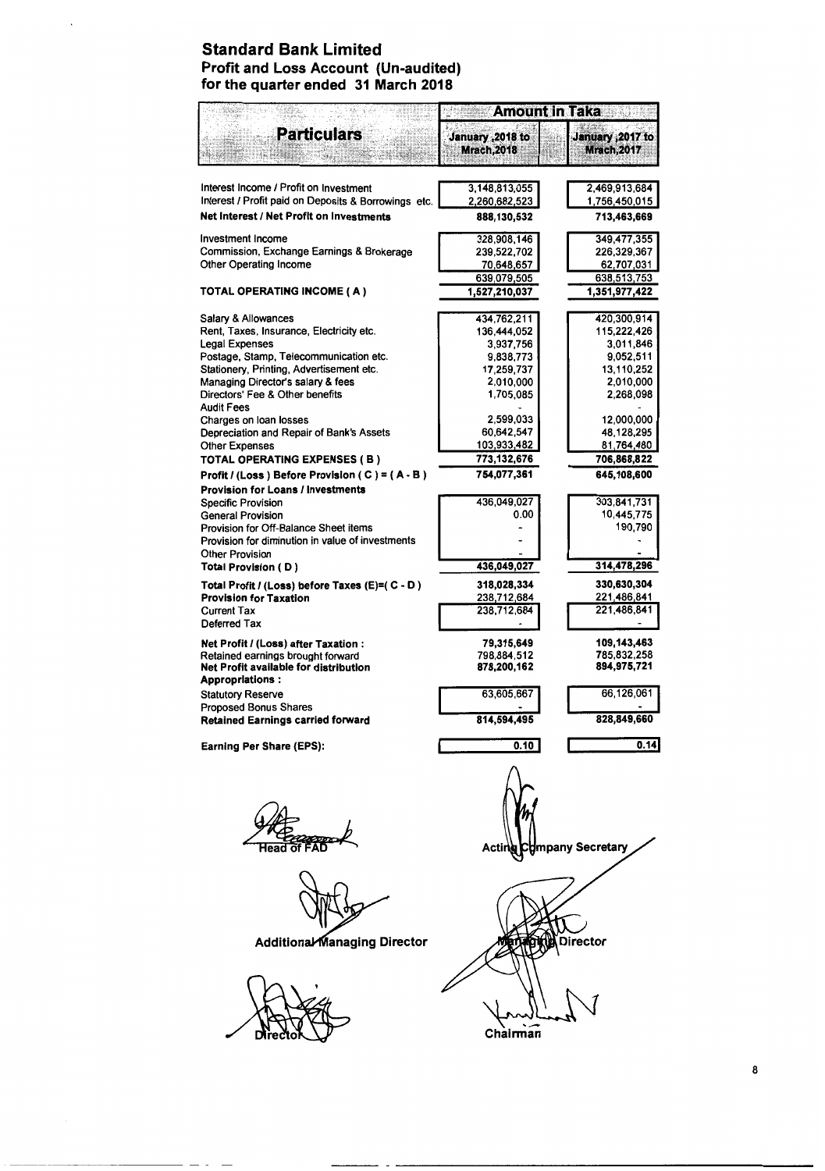### Standard Bank Limited Profit and Loss Account (Un-audited) for the quarter ended 31 March 2018

|                                                                          | <b>Amount in Taka</b>                   |                                         |  |  |
|--------------------------------------------------------------------------|-----------------------------------------|-----------------------------------------|--|--|
| <b>Particulars</b>                                                       | January , 2018 to<br><b>Mrach, 2018</b> | January , 2017 to<br><b>Mrach, 2017</b> |  |  |
| Interest Income / Profit on Investment                                   | 3.148.813.055                           | 2,469,913,684                           |  |  |
| Interest / Profit paid on Deposits & Borrowings etc.                     | 2,260,682,523                           | 1,756,450,015                           |  |  |
| Net Interest / Net Profit on Investments                                 | 888,130,532                             | 713,463,669                             |  |  |
|                                                                          |                                         |                                         |  |  |
| <b>Investment Income</b>                                                 | 328,908,146                             | 349,477,355                             |  |  |
| Commission, Exchange Earnings & Brokerage                                | 239,522,702                             | 226,329,367                             |  |  |
| <b>Other Operating Income</b>                                            | 70,648,657                              | 62,707,031                              |  |  |
|                                                                          | 639,079,505                             | 638,513,753                             |  |  |
| TOTAL OPERATING INCOME (A)                                               | 1,527,210,037                           | 1,351,977,422                           |  |  |
| Salary & Allowances                                                      | 434,762,211                             | 420,300,914                             |  |  |
| Rent, Taxes, Insurance, Electricity etc.                                 | 136,444,052                             | 115,222,426                             |  |  |
| Legal Expenses                                                           | 3,937,756                               | 3,011,846                               |  |  |
| Postage, Stamp, Telecommunication etc.                                   | 9,838,773                               | 9,052,511                               |  |  |
| Stationery, Printing, Advertisement etc.                                 | 17,259,737                              | 13,110,252                              |  |  |
| Managing Director's salary & fees                                        | 2,010,000                               | 2,010,000                               |  |  |
| Directors' Fee & Other benefits<br><b>Audit Fees</b>                     | 1,705,085                               | 2,268,098                               |  |  |
| Charges on loan losses                                                   | 2,599,033                               | 12,000,000                              |  |  |
| Depreciation and Repair of Bank's Assets                                 | 60.642.547                              | 48,128,295                              |  |  |
| <b>Other Expenses</b>                                                    | 103,933,482                             | 81,764,480                              |  |  |
| TOTAL OPERATING EXPENSES ( B )                                           | 773,132,676                             | 706,868,822                             |  |  |
| Profit / (Loss) Before Provision ( C ) = $(A - B)$                       | 754,077,361                             | 645,108,600                             |  |  |
| <b>Provision for Loans / Investments</b>                                 | 436,049,027                             | 303,841,731                             |  |  |
| <b>Specific Provision</b><br><b>General Provision</b>                    | 0.00                                    | 10,445,775                              |  |  |
| Provision for Off-Balance Sheet items                                    |                                         | 190,790                                 |  |  |
| Provision for diminution in value of investments                         |                                         |                                         |  |  |
| <b>Other Provision</b>                                                   |                                         |                                         |  |  |
| Total Provision (D)                                                      | 436,049,027                             | 314,478,296                             |  |  |
| Total Profit / (Loss) before Taxes (E)=( C - D)                          | 318,028,334                             | 330,630,304                             |  |  |
| <b>Provision for Taxation</b>                                            | 238,712,684                             | 221,486,841                             |  |  |
| Current Tax                                                              | 238,712,684                             | 221,486,841                             |  |  |
| Deferred Tax                                                             |                                         |                                         |  |  |
| Net Profit / (Loss) after Taxation :                                     | 79,315,649                              | 109,143,463                             |  |  |
| Retained earnings brought forward                                        | 798,884,512                             | 785,832,258                             |  |  |
| Net Profit available for distribution                                    | 878,200,162                             | 894,975,721                             |  |  |
| <b>Appropriations:</b>                                                   |                                         |                                         |  |  |
| <b>Statutory Reserve</b>                                                 | 63,605,667                              | 66,126,061                              |  |  |
| <b>Proposed Bonus Shares</b><br><b>Retained Earnings carried forward</b> | 814,594,495                             | 828,849,660                             |  |  |
|                                                                          |                                         |                                         |  |  |
| Earning Per Share (EPS):                                                 | 0.10                                    | 0.14                                    |  |  |
|                                                                          | Actir                                   | mpany Secretary                         |  |  |
| Additional Managing Director                                             |                                         | Director                                |  |  |
|                                                                          | Chairman                                |                                         |  |  |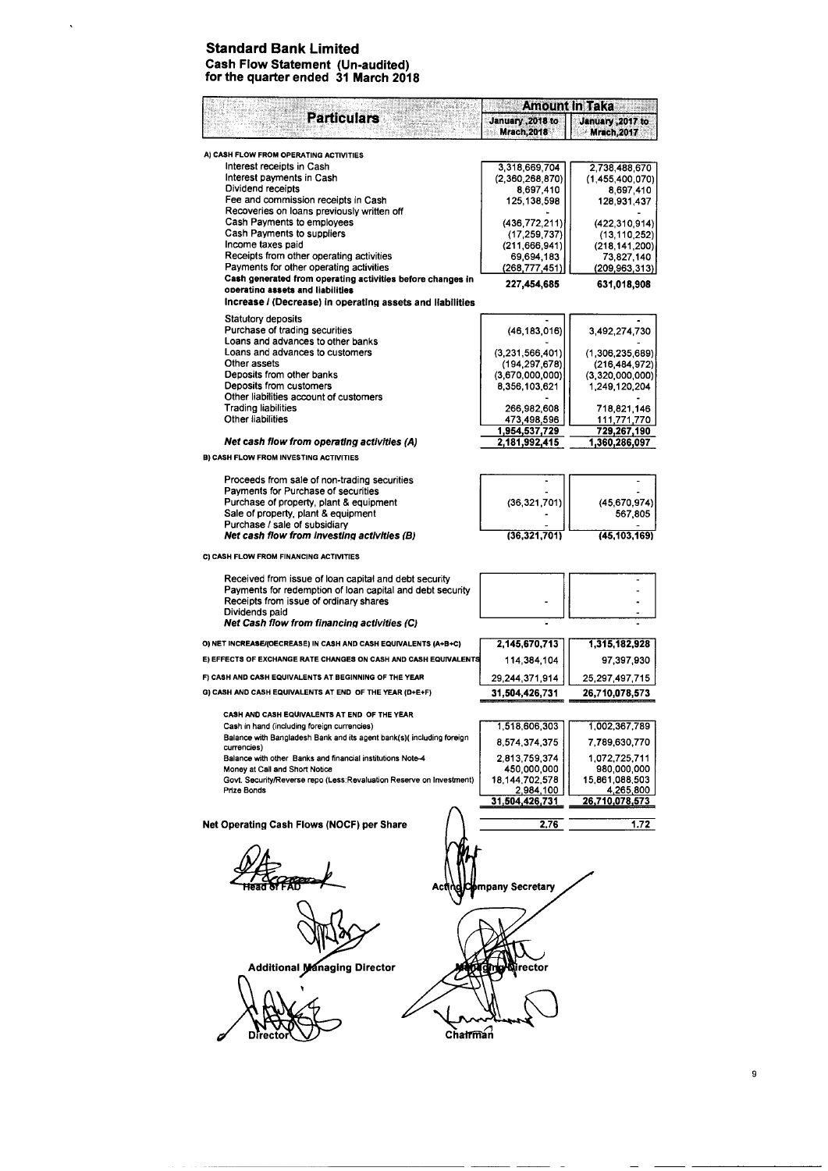#### Standard Bank Limited Cash Flow Statement (Un-audited) for the quarter ended 31 March 2018

 $\hat{\mathcal{A}}$ 

|                                                                                                       | <b>Amount in Taka</b>            |                                        |  |  |
|-------------------------------------------------------------------------------------------------------|----------------------------------|----------------------------------------|--|--|
| <b>Particulars</b>                                                                                    | January , 2018 to<br>Mrach, 2018 | January ,2017 to<br><b>Mrach, 2017</b> |  |  |
|                                                                                                       |                                  |                                        |  |  |
| A) CASH FLOW FROM OPERATING ACTIVITIES                                                                |                                  |                                        |  |  |
| Interest receipts in Cash<br>Interest payments in Cash                                                | 3,318,669,704<br>(2,360,268,870) | 2,738,488,670<br>(1,455,400,070)       |  |  |
| Dividend receipts                                                                                     | 8,697,410                        | 8,697,410                              |  |  |
| Fee and commission receipts in Cash                                                                   | 125,138,598                      | 128,931,437                            |  |  |
| Recoveries on loans previously written off<br>Cash Payments to employees                              | (436, 772, 211)                  |                                        |  |  |
| Cash Payments to suppliers                                                                            | (17, 259, 737)                   | (422, 310, 914)<br>(13, 110, 252)      |  |  |
| Income taxes paid                                                                                     | (211, 666, 941)                  | (218, 141, 200)                        |  |  |
| Receipts from other operating activities                                                              | 69,694,183                       | 73,827,140                             |  |  |
| Payments for other operating activities<br>Cash generated from operating activities before changes in | (268, 777, 451)                  | (209,963,313)                          |  |  |
| operating assets and liabilities                                                                      | 227,454,685                      | 631,018,908                            |  |  |
| Increase / (Decrease) in operating assets and liabilities                                             |                                  |                                        |  |  |
| Statutory deposits                                                                                    |                                  |                                        |  |  |
| Purchase of trading securities                                                                        | (46, 183, 016)                   | 3,492,274,730                          |  |  |
| Loans and advances to other banks<br>Loans and advances to customers                                  |                                  |                                        |  |  |
| Other assets                                                                                          | (3,231,566,401)<br>(194.297,678) | (1,306,235,689)<br>(216, 484, 972)     |  |  |
| Deposits from other banks                                                                             | (3,670,000,000)                  | (3,320,000,000)                        |  |  |
| Deposits from customers                                                                               | 8,356,103,621                    | 1.249,120,204                          |  |  |
| Other liabilities account of customers<br><b>Trading liabilities</b>                                  |                                  |                                        |  |  |
| Other liabilities                                                                                     | 266 982,608<br>473,498,596       | 718,821,146<br>111,771,770             |  |  |
|                                                                                                       | 1,954,537,729                    | 729,267,190                            |  |  |
| Net cash flow from operating activities (A)                                                           | 2,181,992,415                    | 1,360,286,097                          |  |  |
| B) CASH FLOW FROM INVESTING ACTIVITIES                                                                |                                  |                                        |  |  |
| Proceeds from sale of non-trading securities                                                          |                                  |                                        |  |  |
| Payments for Purchase of securities                                                                   |                                  |                                        |  |  |
| Purchase of property, plant & equipment                                                               | (36, 321, 701)                   | (45, 670, 974)                         |  |  |
| Sale of property, plant & equipment                                                                   |                                  | 567,805                                |  |  |
| Purchase / sale of subsidiary<br>Net cash flow from investing activities (B)                          | (36, 321, 701)                   | (45,103,169)                           |  |  |
|                                                                                                       |                                  |                                        |  |  |
| C) CASH FLOW FROM FINANCING ACTIVITIES                                                                |                                  |                                        |  |  |
| Received from issue of loan capital and debt security                                                 |                                  |                                        |  |  |
| Payments for redemption of loan capital and debt security                                             |                                  |                                        |  |  |
| Receipts from issue of ordinary shares                                                                |                                  |                                        |  |  |
| Dividends paid<br>Net Cash flow from financing activities (C)                                         |                                  |                                        |  |  |
|                                                                                                       |                                  |                                        |  |  |
| O) NET INCREASE/(OECREASE) IN CASH AND CASH EQUIVALENTS (A+B+C)                                       | 2,145,670,713                    | 1,315,182,928                          |  |  |
| E) EFFECTS OF EXCHANGE RATE CHANGES ON CASH AND CASH EQUIVALENTS                                      | 114,384,104                      | 97,397,930                             |  |  |
| F) CASH AND CASH EQUIVALENTS AT BEGINNING OF THE YEAR                                                 | 29,244,371,914                   | 25,297,497,715                         |  |  |
| G) CASH AND CASH EQUIVALENTS AT END OF THE YEAR (D+E+F)                                               | 31,504,426,731                   | 26,710,078,573                         |  |  |
| CASH AND CASH EQUIVALENTS AT END OF THE YEAR                                                          |                                  |                                        |  |  |
| Cash in hand (including foreign currencies)                                                           | 1,518,606,303                    | 1,002,367,789                          |  |  |
| Balance with Bangladesh Bank and its agent bank(s)(including foreign                                  | 8,574,374,375                    | 7,789,630,770                          |  |  |
| currencies)                                                                                           |                                  |                                        |  |  |
| Balance with other Banks and financial institutions Note-4<br>Money at Call and Short Notice          | 2,813,759,374<br>450,000,000     | 1,072,725,711<br>980,000,000           |  |  |
| Govt. Security/Reverse repo (Less:Revaluation Reserve on Investment)                                  | 18 144,702,578                   | 15,861,088,503                         |  |  |
| Prize Bonds                                                                                           | 2,984,100                        | 4,265,800                              |  |  |
|                                                                                                       | 31,504,426,731                   | <u>26,710,078,573</u>                  |  |  |
| Net Operating Cash Flows (NOCF) per Share                                                             | 2.76                             | 1.72                                   |  |  |
|                                                                                                       |                                  |                                        |  |  |
|                                                                                                       |                                  |                                        |  |  |
|                                                                                                       |                                  |                                        |  |  |
| Act                                                                                                   | npany Secretary                  |                                        |  |  |
|                                                                                                       |                                  |                                        |  |  |
|                                                                                                       |                                  |                                        |  |  |
|                                                                                                       |                                  |                                        |  |  |
|                                                                                                       |                                  |                                        |  |  |
|                                                                                                       |                                  |                                        |  |  |
| <b>Additional Managing Director</b>                                                                   | rector                           |                                        |  |  |
|                                                                                                       |                                  |                                        |  |  |
|                                                                                                       |                                  |                                        |  |  |
|                                                                                                       |                                  |                                        |  |  |
|                                                                                                       |                                  |                                        |  |  |
| Chairman<br>Directo                                                                                   |                                  |                                        |  |  |
|                                                                                                       |                                  |                                        |  |  |

9

 $\overline{\phantom{a}}$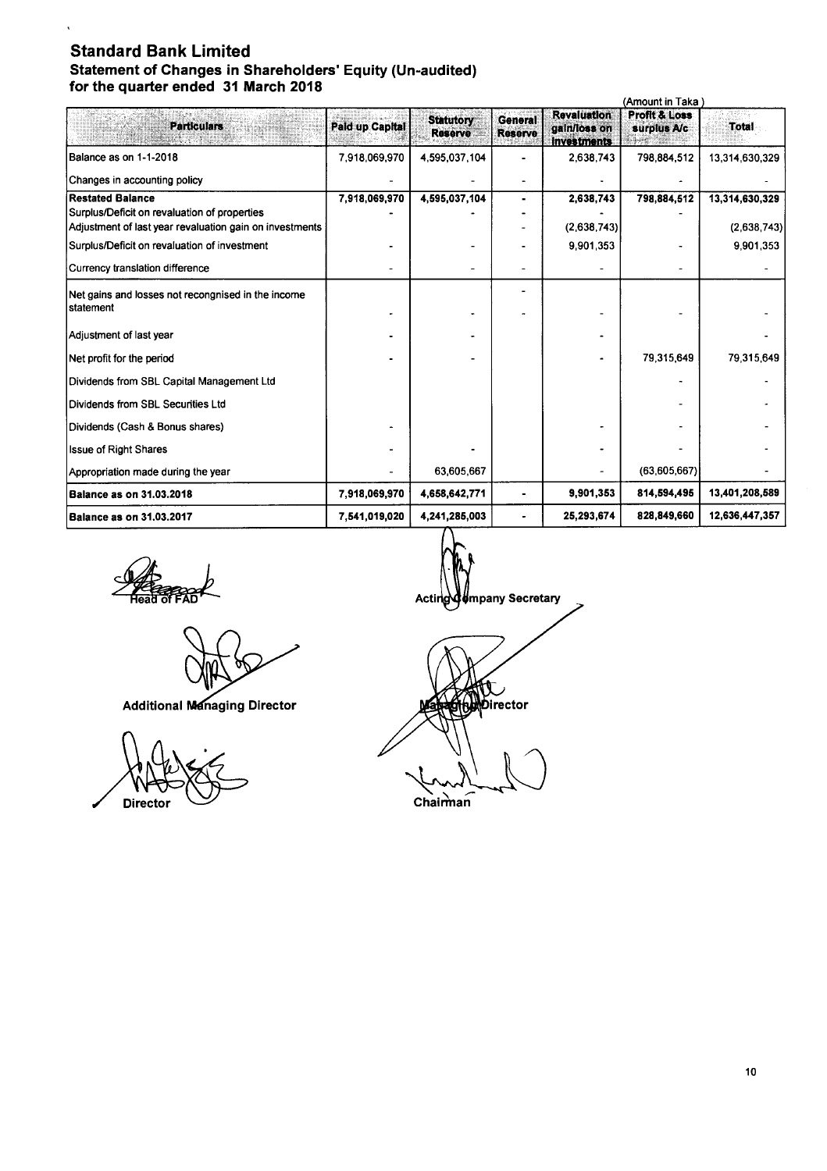### **Standard Bank Limited Statement of Changes in Shareholders' Equity (Un-audited) for the quarter ended 31 March 2018**

| (Amount in Taka i                                               |                        |                                    |                                  |                                                          |                                         |                |
|-----------------------------------------------------------------|------------------------|------------------------------------|----------------------------------|----------------------------------------------------------|-----------------------------------------|----------------|
| <b>Particulars</b>                                              | <b>Paid up Capital</b> | <b>Statutory</b><br><b>Reserve</b> | <b>General</b><br><b>Reserve</b> | <b>Revaluation</b><br>gain/loss on<br><b>Investments</b> | <b>Profit &amp; Loss</b><br>surplus A/c | Total          |
| Balance as on 1-1-2018                                          | 7,918,069,970          | 4,595,037,104                      |                                  | 2,638,743                                                | 798.884.512                             | 13,314,630,329 |
| Changes in accounting policy                                    |                        |                                    |                                  |                                                          |                                         |                |
| <b>Restated Balance</b>                                         | 7,918,069,970          | 4,595,037,104                      | $\blacksquare$                   | 2,638,743                                                | 798,884,512                             | 13,314,630,329 |
| Surplus/Deficit on revaluation of properties                    |                        |                                    |                                  |                                                          |                                         |                |
| Adjustment of last year revaluation gain on investments         |                        |                                    |                                  | (2,638,743)                                              |                                         | (2.638,743)    |
| Surplus/Deficit on revaluation of investment                    |                        |                                    |                                  | 9 901 353                                                |                                         | 9,901,353      |
| Currency translation difference                                 |                        |                                    |                                  |                                                          |                                         |                |
| Net gains and losses not recongnised in the income<br>statement |                        |                                    |                                  |                                                          |                                         |                |
| Adjustment of last year                                         |                        |                                    |                                  |                                                          |                                         |                |
| Net profit for the period                                       |                        |                                    |                                  |                                                          | 79,315,649                              | 79.315.649     |
| Dividends from SBL Capital Management Ltd                       |                        |                                    |                                  |                                                          |                                         |                |
| Dividends from SBL Securities Ltd                               |                        |                                    |                                  |                                                          |                                         |                |
| Dividends (Cash & Bonus shares)                                 |                        |                                    |                                  |                                                          |                                         |                |
| <b>Issue of Right Shares</b>                                    |                        |                                    |                                  |                                                          |                                         |                |
| Appropriation made during the year                              |                        | 63,605,667                         |                                  |                                                          | (63,605,667)                            |                |
| <b>Balance as on 31.03.2018</b>                                 | 7,918,069,970          | 4,658,642,771                      |                                  | 9,901,353                                                | 814,594,495                             | 13,401,208,589 |
| <b>Balance as on 31.03.2017</b>                                 | 7.541,019,020          | 4,241,285,003                      | ۰                                | 25,293,674                                               | 828,849,660                             | 12,636,447,357 |

**SARRO** 

**Additional Managing Director** 



Acting of mpany Secretary

Director "'-~ Chairman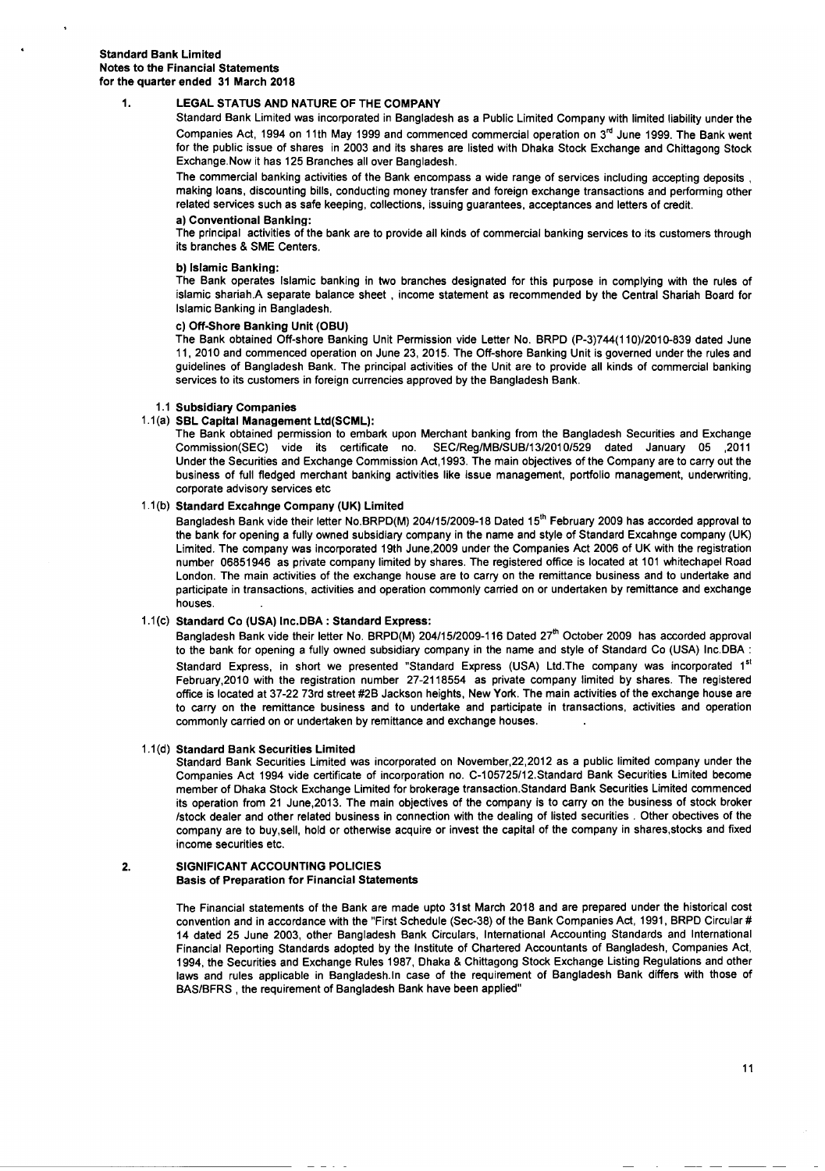#### 1. lEGAL STATUS AND NATURE OF THE COMPANY

Standard Bank Limited was incorporated in Bangladesh as a Public Limited Company with limited liability under the Companies Act, 1994 on 11th May 1999 and commenced commercial operation on  $3<sup>rd</sup>$  June 1999. The Bank went for the public issue of shares in 2003 and its shares are listed with Dhaka Stock Exchange and Chittagong Stock Exchange.Now it has 125 Branches all over Bangladesh.

The commercial banking activities of the Bank encompass a wide range of services including accepting deposits, making loans, discounting bills, conducting money transfer and foreign exchange transactions and performing other related services such as safe keeping, collections, issuing guarantees, acceptances and letters of credit.

#### a) Conventional Banking:

The principal activities of the bank are to provide all kinds of commercial banking services to its customers through its branches & SME Centers.

#### b) Islamic Banking:

The Bank operates Islamic banking in two branches designated for this purpose in complying with the rules of islamic shariah.A separate balance sheet, income statement as recommended by the Central Shariah Board for Islamic Banking in Bangladesh.

#### c) Off-Shore Banking Unit (OBU)

The Bank obtained Off-shore Banking Unit Permission vide Letter No. BRPD *(P-3)744(110)/2010-839* dated June 11, 2010 and commenced operation on June 23, 2015. The Off-shore Banking Unit is governed under the rules and guidelines of Bangladesh Bank. The principal activities of the Unit are to provide all kinds of commercial banking services to its customers in foreign currencies approved by the Bangladesh Bank.

#### 1.1 Subsidiary Companies

#### 1.1(a) SBl Capital Management Ltd(SCMl):

The Bank obtained permission to embark upon Merchant banking from the Bangladesh Securities and Exchange Commission(SEC) vide its certificate no. *SEC/Reg/MB/SUB/13/2010/529* dated January 05 ,2011 Under the Securities and Exchange Commission Act, 1993. The main objectives of the Company are to carry out the business of full fledged merchant banking activities like issue management, portfolio management, underwriting, corporate advisory services etc

#### 1.1(b) Standard Excahnge Company (UK) Limited

Bangladesh Bank vide their letter No.BRPD(M) 204/15/2009-18 Dated 15<sup>th</sup> February 2009 has accorded approval to the bank for opening a fully owned subsidiary company in the name and style of Standard Excahnge company (UK) Limited. The company was incorporated 19th June,2009 under the Companies Act 2006 of UK with the registration number 06851946 as private company limited by shares. The registered office is located at 101 whitechapel Road London. The main activities of the exchange house are to carry on the remittance business and to undertake and participate in transactions, activities and operation commonly carried on or undertaken by remittance and exchange houses.

#### 1.1(c) Standard Co (USA) Inc.DBA : Standard Express:

Bangladesh Bank vide their letter No. BRPD(M) *204/15/2009-116* Dated 27'h October 2009 has accorded approval to the bank for opening a fully owned subsidiary company in the name and style of Standard Co (USA) Inc.DBA : Standard Express, in short we presented "Standard Express (USA) Ltd.The company was incorporated 1<sup>st</sup> February,2010 with the registration number 27-2118554 as private company limited by shares. The registered office is located at 37-22 73rd street #2B Jackson heights, New York. The main activities of the exchange house are to carry on the remittance business and to undertake and participate in transactions, activities and operation commonly carried on or undertaken by remittance and exchange houses.

#### 1.1(d) Standard Bank Securities Limited

Standard Bank Securities Limited was incorporated on November,22,2012 as a public limited company under the Companies Act 1994 vide certificate of incorporation no. C-105725/12.Standard Bank Securities Limited become member of Dhaka Stock Exchange Limited for brokerage transaction.Standard Bank Securities Limited commenced its operation from 21 June,2013. The main objectives of the company is to carry on the business of stock broker Istock dealer and other related business in connection with the dealing of listed securities. Other obectives of the company are to buy,sell, hold or otherwise acquire or invest the capital of the company in shares,stocks and fixed income securities etc.

#### 2. SIGNIFICANT ACCOUNTING POLICIES Basis of Preparation for Financial Statements

The Financial statements of the Bank are made upto 31st March 2018 and are prepared under the historical cost convention and in accordance with the "First Schedule (Sec-38) of the Bank Companies Act, 1991, BRPD Circular # 14 dated 25 June 2003, other Bangladesh Bank Circulars, International Accounting Standards and International Financial Reporting Standards adopted by the Institute of Chartered Accountants of Bangladesh, Companies Act, 1994, the Securities and Exchange Rules 1987, Dhaka & Chittagong Stock Exchange Listing Regulations and other laws and rules applicable in Bangladesh.ln case of the requirement of Bangladesh Bank differs with those of BAS/BFRS , the requirement of Bangladesh Bank have been applied"